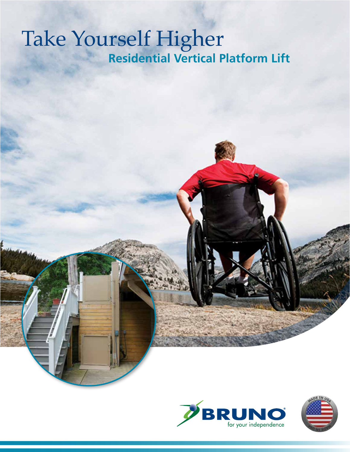## Take Yourself Higher **Residential Vertical Platform Lift**

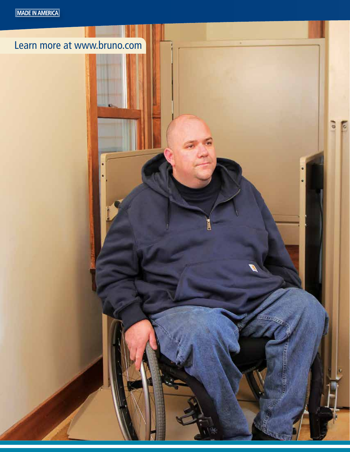Learn more at www.bruno.com

101 E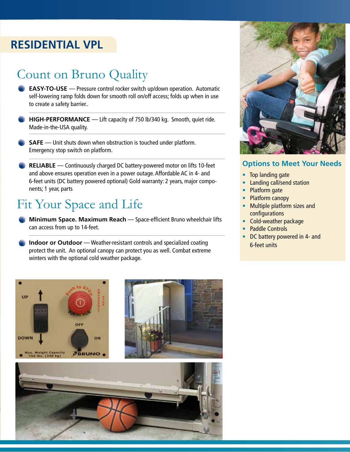## **RESIDENTIAL VPL**

## Count on Bruno Quality

- **EASY-TO-USE** Pressure control rocker switch up/down operation. Automatic self-lowering ramp folds down for smooth roll on/off access; folds up when in use to create a safety barrier..
- **HIGH-PERFORMANCE** Lift capacity of 750 lb/340 kg. Smooth, quiet ride. Made-in-the-USA quality.
- **SAFE** Unit shuts down when obstruction is touched under platform. Emergency stop switch on platform.
- **RELIABLE** Continuously charged DC battery-powered motor on lifts 10-feet and above ensures operation even in a power outage. Affordable AC in 4- and 6-feet units (DC battery powered optional) Gold warranty: 2 years, major components; 1 year, parts

## Fit Your Space and Life

- **Minimum Space. Maximum Reach** Space-efficient Bruno wheelchair lifts can access from up to 14-feet.
- **Indoor or Outdoor** Weather-resistant controls and specialized coating protect the unit. An optional canopy can protect you as well. Combat extreme winters with the optional cold weather package.





### **Options to Meet Your Needs**

- Top landing gate
- Landing call/send station
- Platform gate
- Platform canopy
- Multiple platform sizes and configurations
- Cold-weather package
- Paddle Controls
- DC battery powered in 4- and 6-feet units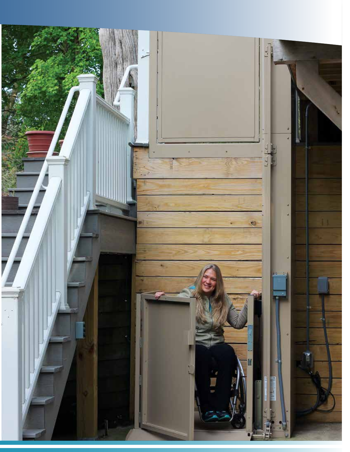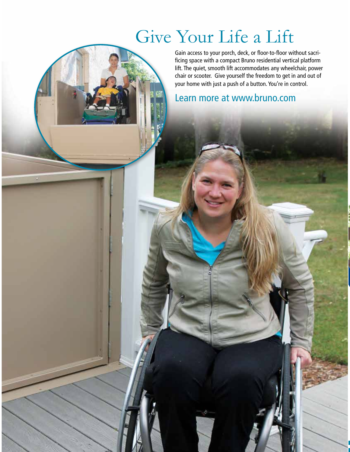# Give Your Life a Lift

Gain access to your porch, deck, or floor-to-floor without sacrificing space with a compact Bruno residential vertical platform lift. The quiet, smooth lift accommodates any wheelchair, power chair or scooter. Give yourself the freedom to get in and out of your home with just a push of a button. You're in control.

### Learn more at www.bruno.com